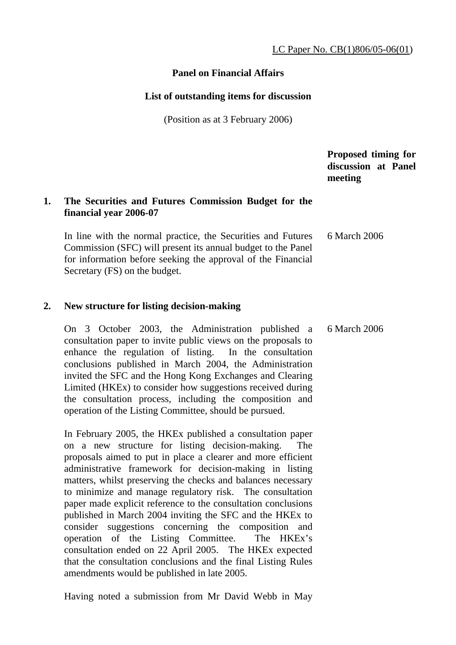### **Panel on Financial Affairs**

#### **List of outstanding items for discussion**

(Position as at 3 February 2006)

 **Proposed timing for discussion at Panel meeting** 

### **1. The Securities and Futures Commission Budget for the financial year 2006-07**

 In line with the normal practice, the Securities and Futures Commission (SFC) will present its annual budget to the Panel for information before seeking the approval of the Financial Secretary (FS) on the budget. 6 March 2006

#### **2. New structure for listing decision-making**

 On 3 October 2003, the Administration published a consultation paper to invite public views on the proposals to enhance the regulation of listing. In the consultation conclusions published in March 2004, the Administration invited the SFC and the Hong Kong Exchanges and Clearing Limited (HKEx) to consider how suggestions received during the consultation process, including the composition and operation of the Listing Committee, should be pursued. 6 March 2006

 In February 2005, the HKEx published a consultation paper on a new structure for listing decision-making. The proposals aimed to put in place a clearer and more efficient administrative framework for decision-making in listing matters, whilst preserving the checks and balances necessary to minimize and manage regulatory risk. The consultation paper made explicit reference to the consultation conclusions published in March 2004 inviting the SFC and the HKEx to consider suggestions concerning the composition and operation of the Listing Committee. The HKEx's consultation ended on 22 April 2005. The HKEx expected that the consultation conclusions and the final Listing Rules amendments would be published in late 2005.

Having noted a submission from Mr David Webb in May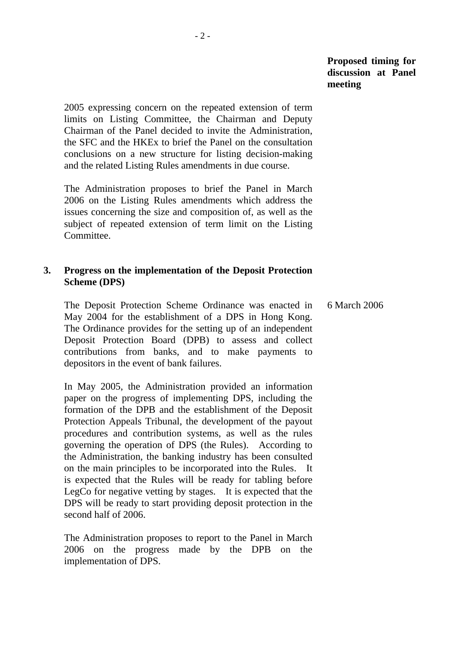2005 expressing concern on the repeated extension of term limits on Listing Committee, the Chairman and Deputy Chairman of the Panel decided to invite the Administration, the SFC and the HKEx to brief the Panel on the consultation conclusions on a new structure for listing decision-making and the related Listing Rules amendments in due course.

 The Administration proposes to brief the Panel in March 2006 on the Listing Rules amendments which address the issues concerning the size and composition of, as well as the subject of repeated extension of term limit on the Listing Committee.

### **3. Progress on the implementation of the Deposit Protection Scheme (DPS)**

 The Deposit Protection Scheme Ordinance was enacted in May 2004 for the establishment of a DPS in Hong Kong. The Ordinance provides for the setting up of an independent Deposit Protection Board (DPB) to assess and collect contributions from banks, and to make payments to depositors in the event of bank failures. 6 March 2006

 In May 2005, the Administration provided an information paper on the progress of implementing DPS, including the formation of the DPB and the establishment of the Deposit Protection Appeals Tribunal, the development of the payout procedures and contribution systems, as well as the rules governing the operation of DPS (the Rules). According to the Administration, the banking industry has been consulted on the main principles to be incorporated into the Rules. It is expected that the Rules will be ready for tabling before LegCo for negative vetting by stages. It is expected that the DPS will be ready to start providing deposit protection in the second half of 2006.

 The Administration proposes to report to the Panel in March 2006 on the progress made by the DPB on the implementation of DPS.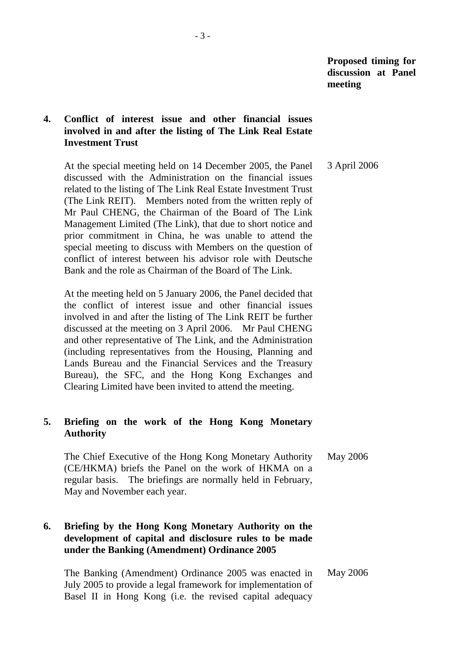# **4. Conflict of interest issue and other financial issues involved in and after the listing of The Link Real Estate Investment Trust**

 At the special meeting held on 14 December 2005, the Panel discussed with the Administration on the financial issues related to the listing of The Link Real Estate Investment Trust (The Link REIT). Members noted from the written reply of Mr Paul CHENG, the Chairman of the Board of The Link Management Limited (The Link), that due to short notice and prior commitment in China, he was unable to attend the special meeting to discuss with Members on the question of conflict of interest between his advisor role with Deutsche Bank and the role as Chairman of the Board of The Link. 3 April 2006

 At the meeting held on 5 January 2006, the Panel decided that the conflict of interest issue and other financial issues involved in and after the listing of The Link REIT be further discussed at the meeting on 3 April 2006. Mr Paul CHENG and other representative of The Link, and the Administration (including representatives from the Housing, Planning and Lands Bureau and the Financial Services and the Treasury Bureau), the SFC, and the Hong Kong Exchanges and Clearing Limited have been invited to attend the meeting.

# **5. Briefing on the work of the Hong Kong Monetary Authority**

 The Chief Executive of the Hong Kong Monetary Authority (CE/HKMA) briefs the Panel on the work of HKMA on a regular basis. The briefings are normally held in February, May and November each year. May 2006

# **6. Briefing by the Hong Kong Monetary Authority on the development of capital and disclosure rules to be made under the Banking (Amendment) Ordinance 2005**

 The Banking (Amendment) Ordinance 2005 was enacted in July 2005 to provide a legal framework for implementation of Basel II in Hong Kong (i.e. the revised capital adequacy May 2006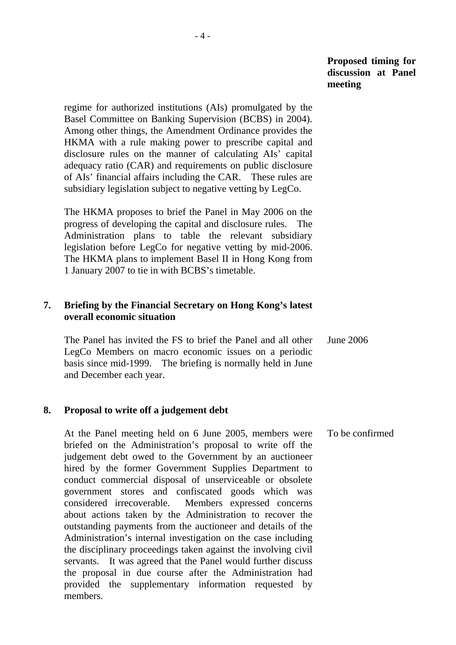regime for authorized institutions (AIs) promulgated by the Basel Committee on Banking Supervision (BCBS) in 2004). Among other things, the Amendment Ordinance provides the HKMA with a rule making power to prescribe capital and disclosure rules on the manner of calculating AIs' capital adequacy ratio (CAR) and requirements on public disclosure of AIs' financial affairs including the CAR. These rules are subsidiary legislation subject to negative vetting by LegCo.

 The HKMA proposes to brief the Panel in May 2006 on the progress of developing the capital and disclosure rules. The Administration plans to table the relevant subsidiary legislation before LegCo for negative vetting by mid-2006. The HKMA plans to implement Basel II in Hong Kong from 1 January 2007 to tie in with BCBS's timetable.

### **7. Briefing by the Financial Secretary on Hong Kong's latest overall economic situation**

 The Panel has invited the FS to brief the Panel and all other LegCo Members on macro economic issues on a periodic basis since mid-1999. The briefing is normally held in June and December each year. June 2006

### **8. Proposal to write off a judgement debt**

 At the Panel meeting held on 6 June 2005, members were briefed on the Administration's proposal to write off the judgement debt owed to the Government by an auctioneer hired by the former Government Supplies Department to conduct commercial disposal of unserviceable or obsolete government stores and confiscated goods which was considered irrecoverable. Members expressed concerns about actions taken by the Administration to recover the outstanding payments from the auctioneer and details of the Administration's internal investigation on the case including the disciplinary proceedings taken against the involving civil servants. It was agreed that the Panel would further discuss the proposal in due course after the Administration had provided the supplementary information requested by members. To be confirmed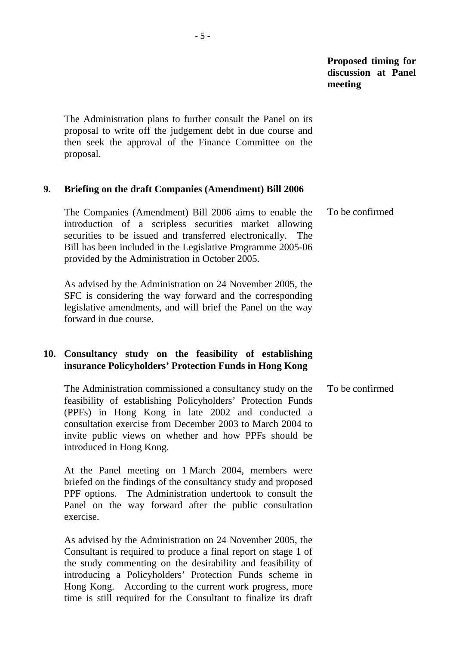The Administration plans to further consult the Panel on its proposal to write off the judgement debt in due course and then seek the approval of the Finance Committee on the proposal.

### **9. Briefing on the draft Companies (Amendment) Bill 2006**

 The Companies (Amendment) Bill 2006 aims to enable the introduction of a scripless securities market allowing securities to be issued and transferred electronically. The Bill has been included in the Legislative Programme 2005-06 provided by the Administration in October 2005. To be confirmed

 As advised by the Administration on 24 November 2005, the SFC is considering the way forward and the corresponding legislative amendments, and will brief the Panel on the way forward in due course.

# **10. Consultancy study on the feasibility of establishing insurance Policyholders' Protection Funds in Hong Kong**

 The Administration commissioned a consultancy study on the feasibility of establishing Policyholders' Protection Funds (PPFs) in Hong Kong in late 2002 and conducted a consultation exercise from December 2003 to March 2004 to invite public views on whether and how PPFs should be introduced in Hong Kong. To be confirmed

 At the Panel meeting on 1 March 2004, members were briefed on the findings of the consultancy study and proposed PPF options. The Administration undertook to consult the Panel on the way forward after the public consultation exercise.

 As advised by the Administration on 24 November 2005, the Consultant is required to produce a final report on stage 1 of the study commenting on the desirability and feasibility of introducing a Policyholders' Protection Funds scheme in Hong Kong. According to the current work progress, more time is still required for the Consultant to finalize its draft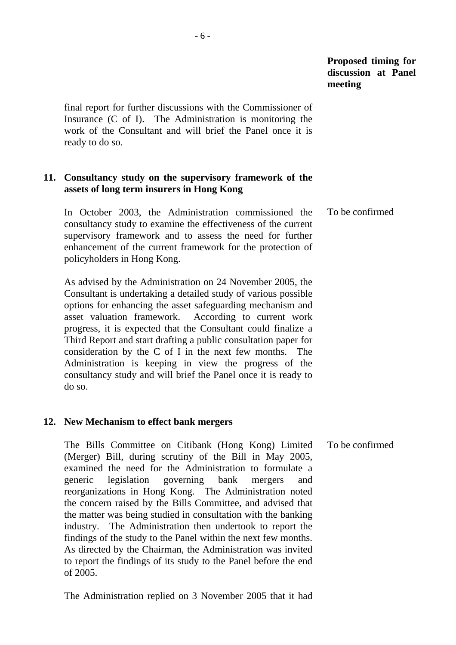final report for further discussions with the Commissioner of Insurance (C of I). The Administration is monitoring the work of the Consultant and will brief the Panel once it is ready to do so.

### **11. Consultancy study on the supervisory framework of the assets of long term insurers in Hong Kong**

 In October 2003, the Administration commissioned the consultancy study to examine the effectiveness of the current supervisory framework and to assess the need for further enhancement of the current framework for the protection of policyholders in Hong Kong. To be confirmed

 As advised by the Administration on 24 November 2005, the Consultant is undertaking a detailed study of various possible options for enhancing the asset safeguarding mechanism and asset valuation framework. According to current work progress, it is expected that the Consultant could finalize a Third Report and start drafting a public consultation paper for consideration by the C of I in the next few months. The Administration is keeping in view the progress of the consultancy study and will brief the Panel once it is ready to do so.

#### **12. New Mechanism to effect bank mergers**

 The Bills Committee on Citibank (Hong Kong) Limited (Merger) Bill, during scrutiny of the Bill in May 2005, examined the need for the Administration to formulate a generic legislation governing bank mergers and reorganizations in Hong Kong. The Administration noted the concern raised by the Bills Committee, and advised that the matter was being studied in consultation with the banking industry. The Administration then undertook to report the findings of the study to the Panel within the next few months. As directed by the Chairman, the Administration was invited to report the findings of its study to the Panel before the end of 2005. To be confirmed

The Administration replied on 3 November 2005 that it had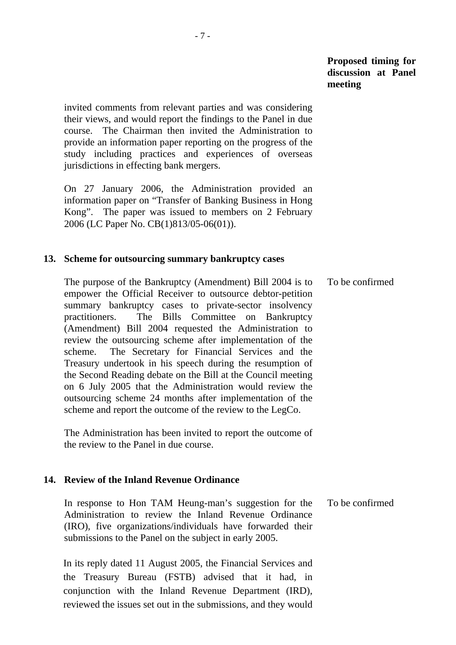invited comments from relevant parties and was considering their views, and would report the findings to the Panel in due course. The Chairman then invited the Administration to provide an information paper reporting on the progress of the study including practices and experiences of overseas jurisdictions in effecting bank mergers.

 On 27 January 2006, the Administration provided an information paper on "Transfer of Banking Business in Hong Kong". The paper was issued to members on 2 February 2006 (LC Paper No. CB(1)813/05-06(01)).

### **13. Scheme for outsourcing summary bankruptcy cases**

 The purpose of the Bankruptcy (Amendment) Bill 2004 is to empower the Official Receiver to outsource debtor-petition summary bankruptcy cases to private-sector insolvency practitioners. The Bills Committee on Bankruptcy (Amendment) Bill 2004 requested the Administration to review the outsourcing scheme after implementation of the scheme. The Secretary for Financial Services and the Treasury undertook in his speech during the resumption of the Second Reading debate on the Bill at the Council meeting on 6 July 2005 that the Administration would review the outsourcing scheme 24 months after implementation of the scheme and report the outcome of the review to the LegCo. To be confirmed

 The Administration has been invited to report the outcome of the review to the Panel in due course.

### **14. Review of the Inland Revenue Ordinance**

 In response to Hon TAM Heung-man's suggestion for the Administration to review the Inland Revenue Ordinance (IRO), five organizations/individuals have forwarded their submissions to the Panel on the subject in early 2005. To be confirmed

 In its reply dated 11 August 2005, the Financial Services and the Treasury Bureau (FSTB) advised that it had, in conjunction with the Inland Revenue Department (IRD), reviewed the issues set out in the submissions, and they would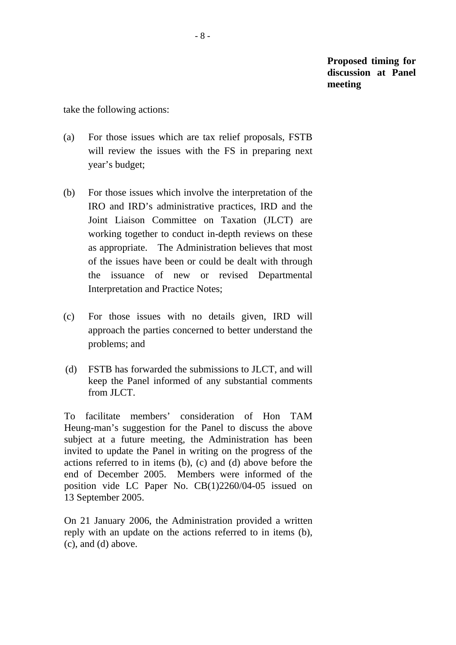take the following actions:

- (a) For those issues which are tax relief proposals, FSTB will review the issues with the FS in preparing next year's budget;
- (b) For those issues which involve the interpretation of the IRO and IRD's administrative practices, IRD and the Joint Liaison Committee on Taxation (JLCT) are working together to conduct in-depth reviews on these as appropriate. The Administration believes that most of the issues have been or could be dealt with through the issuance of new or revised Departmental Interpretation and Practice Notes;
- (c) For those issues with no details given, IRD will approach the parties concerned to better understand the problems; and
- (d) FSTB has forwarded the submissions to JLCT, and will keep the Panel informed of any substantial comments from JLCT.

 To facilitate members' consideration of Hon TAM Heung-man's suggestion for the Panel to discuss the above subject at a future meeting, the Administration has been invited to update the Panel in writing on the progress of the actions referred to in items (b), (c) and (d) above before the end of December 2005. Members were informed of the position vide LC Paper No. CB(1)2260/04-05 issued on 13 September 2005.

 On 21 January 2006, the Administration provided a written reply with an update on the actions referred to in items (b), (c), and (d) above.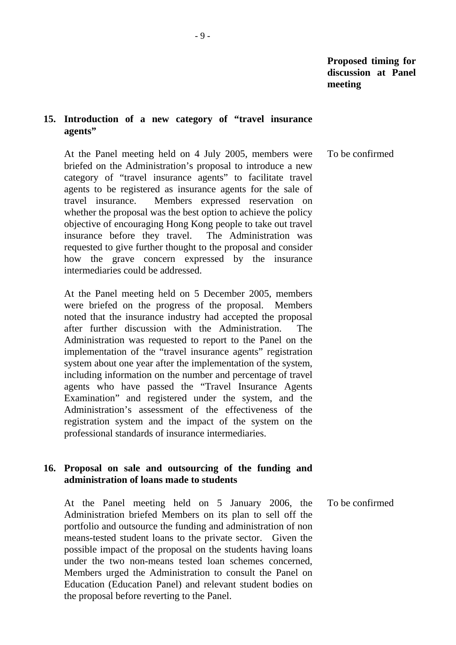### **15. Introduction of a new category of "travel insurance agents"**

 At the Panel meeting held on 4 July 2005, members were briefed on the Administration's proposal to introduce a new category of "travel insurance agents" to facilitate travel agents to be registered as insurance agents for the sale of travel insurance. Members expressed reservation on whether the proposal was the best option to achieve the policy objective of encouraging Hong Kong people to take out travel insurance before they travel. The Administration was requested to give further thought to the proposal and consider how the grave concern expressed by the insurance intermediaries could be addressed. To be confirmed

 At the Panel meeting held on 5 December 2005, members were briefed on the progress of the proposal. Members noted that the insurance industry had accepted the proposal after further discussion with the Administration. The Administration was requested to report to the Panel on the implementation of the "travel insurance agents" registration system about one year after the implementation of the system, including information on the number and percentage of travel agents who have passed the "Travel Insurance Agents Examination" and registered under the system, and the Administration's assessment of the effectiveness of the registration system and the impact of the system on the professional standards of insurance intermediaries.

### **16. Proposal on sale and outsourcing of the funding and administration of loans made to students**

 At the Panel meeting held on 5 January 2006, the Administration briefed Members on its plan to sell off the portfolio and outsource the funding and administration of non means-tested student loans to the private sector. Given the possible impact of the proposal on the students having loans under the two non-means tested loan schemes concerned, Members urged the Administration to consult the Panel on Education (Education Panel) and relevant student bodies on the proposal before reverting to the Panel. To be confirmed